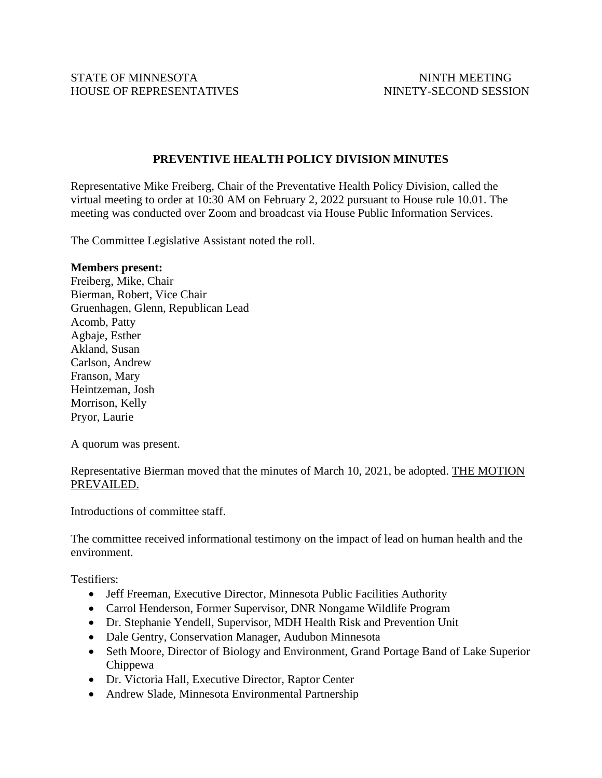STATE OF MINNESOTA NINTH MEETING HOUSE OF REPRESENTATIVES NINETY-SECOND SESSION

## **PREVENTIVE HEALTH POLICY DIVISION MINUTES**

Representative Mike Freiberg, Chair of the Preventative Health Policy Division, called the virtual meeting to order at 10:30 AM on February 2, 2022 pursuant to House rule 10.01. The meeting was conducted over Zoom and broadcast via House Public Information Services.

The Committee Legislative Assistant noted the roll.

## **Members present:**

Freiberg, Mike, Chair Bierman, Robert, Vice Chair Gruenhagen, Glenn, Republican Lead Acomb, Patty Agbaje, Esther Akland, Susan Carlson, Andrew Franson, Mary Heintzeman, Josh Morrison, Kelly Pryor, Laurie

A quorum was present.

Representative Bierman moved that the minutes of March 10, 2021, be adopted. THE MOTION PREVAILED.

Introductions of committee staff.

The committee received informational testimony on the impact of lead on human health and the environment.

Testifiers:

- Jeff Freeman, Executive Director, Minnesota Public Facilities Authority
- Carrol Henderson, Former Supervisor, DNR Nongame Wildlife Program
- Dr. Stephanie Yendell, Supervisor, MDH Health Risk and Prevention Unit
- Dale Gentry, Conservation Manager, Audubon Minnesota
- Seth Moore, Director of Biology and Environment, Grand Portage Band of Lake Superior Chippewa
- Dr. Victoria Hall, Executive Director, Raptor Center
- Andrew Slade, Minnesota Environmental Partnership